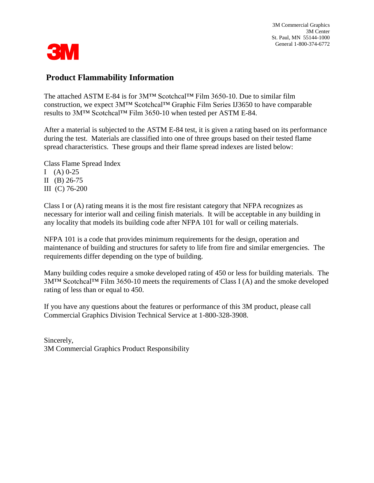3M Commercial Graphics 3M Center St. Paul, MN 55144-1000 General 1-800-374-6772



### **Product Flammability Information**

The attached ASTM E-84 is for 3M™ Scotchcal™ Film 3650-10. Due to similar film construction, we expect 3M™ Scotchcal™ Graphic Film Series IJ3650 to have comparable results to 3M™ Scotchcal™ Film 3650-10 when tested per ASTM E-84.

After a material is subjected to the ASTM E-84 test, it is given a rating based on its performance during the test. Materials are classified into one of three groups based on their tested flame spread characteristics. These groups and their flame spread indexes are listed below:

Class Flame Spread Index I (A)  $0-25$ II (B) 26-75 III (C) 76-200

Class I or (A) rating means it is the most fire resistant category that NFPA recognizes as necessary for interior wall and ceiling finish materials. It will be acceptable in any building in any locality that models its building code after NFPA 101 for wall or ceiling materials.

NFPA 101 is a code that provides minimum requirements for the design, operation and maintenance of building and structures for safety to life from fire and similar emergencies. The requirements differ depending on the type of building.

Many building codes require a smoke developed rating of 450 or less for building materials. The 3M™ Scotchcal™ Film 3650-10 meets the requirements of Class I (A) and the smoke developed rating of less than or equal to 450.

If you have any questions about the features or performance of this 3M product, please call Commercial Graphics Division Technical Service at 1-800-328-3908.

Sincerely, 3M Commercial Graphics Product Responsibility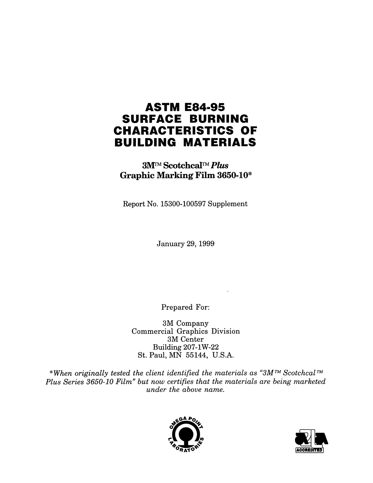## **ASTM E84-95 SURFACE BURNING CHARACTERISTICS OF BUILDING MATERIALS**

**3M™ Scotchcal™ Plus Graphic Marking Film 3650-10\*** 

Report No. 15300-100597 Supplement

**January 29, 1999** 

Prepared For:

3M Company Commercial Graphics Division 3M Center **Building 207-1W-22** St. Paul, MN 55144, U.S.A.

\*When originally tested the client identified the materials as "3M<sup>TM</sup> Scotchcal<sup>TM</sup> Plus Series 3650-10 Film" but now certifies that the materials are being marketed under the above name.



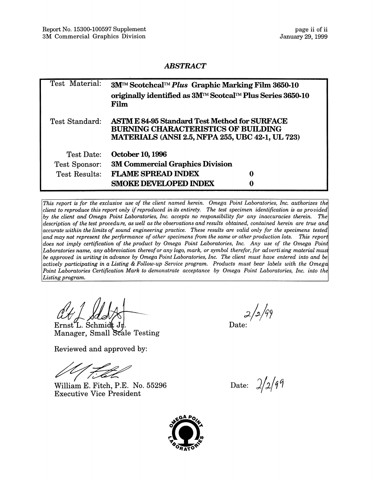#### **ABSTRACT**

| Test Material:       | 3M™ Scotchcal™ Plus Graphic Marking Film 3650-10<br>originally identified as 3M™ Scotcal™ Plus Series 3650-10<br>Film                                         |   |
|----------------------|---------------------------------------------------------------------------------------------------------------------------------------------------------------|---|
| Test Standard:       | <b>ASTM E 84-95 Standard Test Method for SURFACE</b><br><b>BURNING CHARACTERISTICS OF BUILDING</b><br><b>MATERIALS (ANSI 2.5, NFPA 255, UBC 42-1, UL 723)</b> |   |
| Test Date:           | <b>October 10, 1996</b>                                                                                                                                       |   |
| Test Sponsor:        | <b>3M Commercial Graphics Division</b>                                                                                                                        |   |
| <b>Test Results:</b> | <b>FLAME SPREAD INDEX</b>                                                                                                                                     | 0 |
|                      | <b>SMOKE DEVELOPED INDEX</b>                                                                                                                                  | 0 |

This report is for the exclusive use of the client named herein. Omega Point Laboratories, Inc. authorizes the client to reproduce this report only if reproduced in its entirety. The test specimen identification is as provided by the client and Omega Point Laboratories, Inc. accepts no responsibility for any inaccuracies therein. The description of the test procedure, as well as the observations and results obtained, contained herein are true and accurate within the limits of sound engineering practice. These results are valid only for the specimens tested and may not represent the performance of other specimens from the same or other production lots. This report does not imply certification of the product by Omega Point Laboratories, Inc. Any use of the Omega Point Laboratories name, any abbreviation thereof or any logo, mark, or symbol therefor, for advertising material must be approved in writing in advance by Omega Point Laboratories, Inc. The client must have entered into and be actively participating in a Listing & Follow-up Service program. Products must bear labels with the Omega Point Laboratories Certification Mark to demonstrate acceptance by Omega Point Laboratories, Inc. into the Listing program.

 $Ernst'L.$  Schmidt Jr Manager, Small Scale Testing

Reviewed and approved by:

William E. Fitch, P.E. No. 55296 **Executive Vice President** 

Date:

Date:  $2/2/99$ 

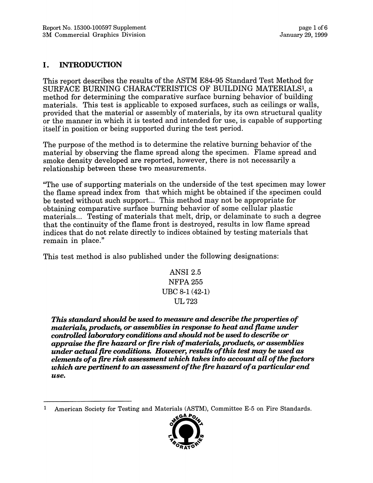#### I. **INTRODUCTION**

This report describes the results of the ASTM E84-95 Standard Test Method for SURFACE BURNING CHARACTERISTICS OF BUILDING MATERIALS<sup>1</sup>, a method for determining the comparative surface burning behavior of building materials. This test is applicable to exposed surfaces, such as ceilings or walls, provided that the material or assembly of materials, by its own structural quality or the manner in which it is tested and intended for use, is capable of supporting itself in position or being supported during the test period.

The purpose of the method is to determine the relative burning behavior of the material by observing the flame spread along the specimen. Flame spread and smoke density developed are reported, however, there is not necessarily a relationship between these two measurements.

"The use of supporting materials on the underside of the test specimen may lower the flame spread index from that which might be obtained if the specimen could be tested without such support... This method may not be appropriate for obtaining comparative surface burning behavior of some cellular plastic materials... Testing of materials that melt, drip, or delaminate to such a degree that the continuity of the flame front is destroyed, results in low flame spread indices that do not relate directly to indices obtained by testing materials that remain in place."

This test method is also published under the following designations:

**ANSI 2.5 NFPA 255** UBC 8-1 (42-1) UL 723

This standard should be used to measure and describe the properties of materials, products, or assemblies in response to heat and flame under controlled laboratory conditions and should not be used to describe or appraise the fire hazard or fire risk of materials, products, or assemblies under actual fire conditions. However, results of this test may be used as elements of a fire risk assessment which takes into account all of the factors which are pertinent to an assessment of the fire hazard of a particular end use.

 $\mathbf{1}$ American Society for Testing and Materials (ASTM), Committee E-5 on Fire Standards.

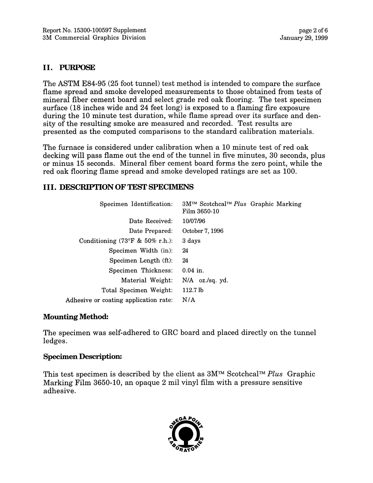#### II. PURPOSE

The ASTM E84-95 (25 foot tunnel) test method is intended to compare the surface flame spread and smoke developed measurements to those obtained from tests of mineral fiber cement board and select grade red oak flooring. The test specimen surface (18 inches wide and 24 feet long) is exposed to a flaming fire exposure during the 10 minute test duration, while flame spread over its surface and density of the resulting smoke are measured and recorded. Test results are presented as the computed comparisons to the standard calibration materials.

The furnace is considered under calibration when a 10 minute test of red oak decking will pass flame out the end of the tunnel in five minutes, 30 seconds, plus or minus 15 seconds. Mineral fiber cement board forms the zero point, while the red oak flooring flame spread and smoke developed ratings are set as 100.

#### **III. DESCRIPTION OF TEST SPECIMENS**

| Specimen Identification:                            | 3M™ Scotchcal™ Plus Graphic Marking<br>Film 3650-10 |  |
|-----------------------------------------------------|-----------------------------------------------------|--|
| Date Received:                                      | 10/07/96                                            |  |
| Date Prepared:                                      | October 7, 1996                                     |  |
| Conditioning $(73^{\circ}F \& 50\% \text{ r.h.})$ : | 3 days                                              |  |
| Specimen Width (in):                                | 24                                                  |  |
| Specimen Length (ft):                               | 24                                                  |  |
| Specimen Thickness:                                 | $0.04$ in.                                          |  |
| Material Weight:                                    | $N/A$ oz./sq. yd.                                   |  |
| Total Specimen Weight:                              | 112.7 <sub>lb</sub>                                 |  |
| Adhesive or coating application rate:               | N/A                                                 |  |

#### **Mounting Method:**

The specimen was self-adhered to GRC board and placed directly on the tunnel ledges.

#### **Specimen Description:**

This test specimen is described by the client as  $3M^{TM}$  Scotchcal<sup>TM</sup> Plus Graphic Marking Film 3650-10, an opaque 2 mil vinyl film with a pressure sensitive adhesive.

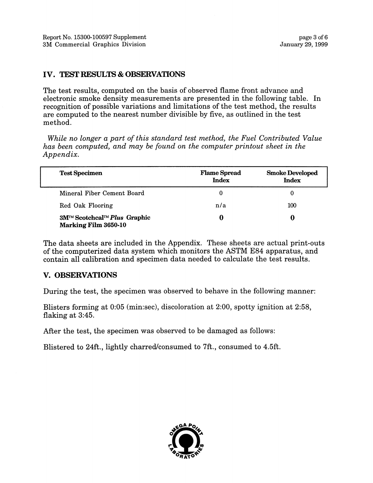#### **IV. TEST RESULTS & OBSERVATIONS**

The test results, computed on the basis of observed flame front advance and electronic smoke density measurements are presented in the following table. In recognition of possible variations and limitations of the test method, the results are computed to the nearest number divisible by five, as outlined in the test method.

While no longer a part of this standard test method, the Fuel Contributed Value has been computed, and may be found on the computer printout sheet in the Appendix.

| <b>Test Specimen</b>                                       | <b>Flame Spread</b><br><b>Index</b> | <b>Smoke Developed</b><br><b>Index</b> |
|------------------------------------------------------------|-------------------------------------|----------------------------------------|
| Mineral Fiber Cement Board                                 | 0                                   |                                        |
| Red Oak Flooring                                           | n/a                                 | 100                                    |
| 3M™ Scotchcal™ Plus Graphic<br><b>Marking Film 3650-10</b> |                                     | o                                      |

The data sheets are included in the Appendix. These sheets are actual print-outs of the computerized data system which monitors the ASTM E84 apparatus, and contain all calibration and specimen data needed to calculate the test results.

#### **V. OBSERVATIONS**

During the test, the specimen was observed to behave in the following manner:

Blisters forming at 0:05 (min:sec), discoloration at 2:00, spotty ignition at 2:58, flaking at 3:45.

After the test, the specimen was observed to be damaged as follows:

Blistered to 24ft., lightly charred/consumed to 7ft., consumed to 4.5ft.

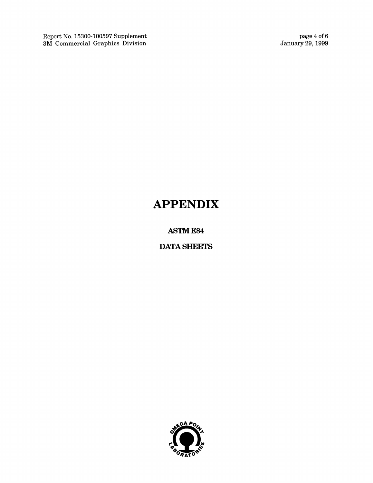Report No. 15300-100597 Supplement<br>3M Commercial Graphics Division

page 4 of 6<br>January 29, 1999

# **APPENDIX**

**ASTM E84** 

**DATA SHEETS** 

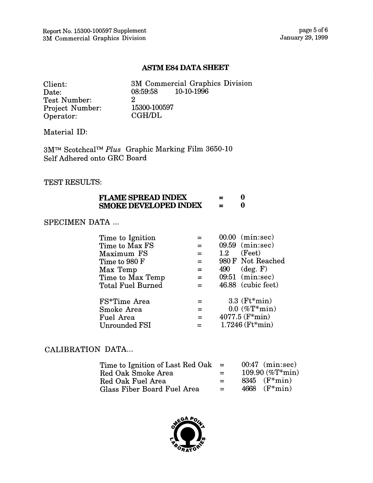#### **ASTM E84 DATA SHEET**

| Client:                |
|------------------------|
| Date:                  |
| Test Number:           |
| <b>Project Number:</b> |
| Operator:              |

3M Commercial Graphics Division  $10-10-1996$ 08:59:58  $\overline{2}$ 15300-100597 **CGH/DL** 

Material ID:

 $3\mathrm{M}^{\text{\tiny{TM}}}$ Scotchcal™ $Plus$  Graphic Marking Film 3650-10 Self Adhered onto GRC Board

#### TEST RESULTS:

| <b>FLAME SPREAD INDEX</b>    | =        |  |
|------------------------------|----------|--|
| <b>SMOKE DEVELOPED INDEX</b> | $\equiv$ |  |

#### SPECIMEN DATA ...

| Time to Ignition         |                    | 00.00 (min:sec)      |
|--------------------------|--------------------|----------------------|
| Time to Max FS           | $=$                | 09.59 (min:sec)      |
| Maximum FS               | =                  | (Feet)<br>1.2        |
| Time to 980 F            | $=$ $\overline{ }$ | 980 F Not Reached    |
| Max Temp                 | $=$                | $490$ (deg. F)       |
| Time to Max Temp         | $=$                | 09:51 (min:sec)      |
| <b>Total Fuel Burned</b> | $=$                | 46.88 (cubic feet)   |
| FS*Time Area             | $=$                | $3.3$ ( $Ft*min$ )   |
| Smoke Area               | $\equiv$           | $0.0~(\%T^{*}min)$   |
| Fuel Area                | $=$                | $4077.5$ ( $F*min$ ) |
| <b>Unrounded FSI</b>     |                    | 1.7246 (Ft*min)      |

#### CALIBRATION DATA...

| Time to Ignition of Last Red Oak | $=$ | $00:47$ (min:sec)   |
|----------------------------------|-----|---------------------|
| Red Oak Smoke Area               | $=$ | 109.90 $(\%T^*min)$ |
| Red Oak Fuel Area                | $=$ | $8345$ ( $F*min$ )  |
| Glass Fiber Board Fuel Area      | $=$ | 4668 $(F*min)$      |